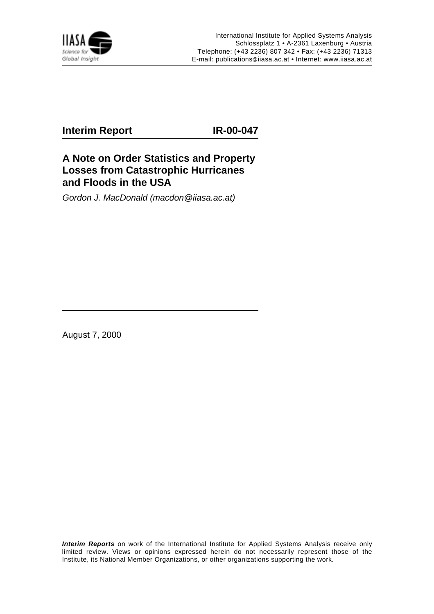

## **Interim Report IR-00-047**

## **A Note on Order Statistics and Property Losses from Catastrophic Hurricanes and Floods in the USA**

Gordon J. MacDonald (macdon@iiasa.ac.at)

August 7, 2000

**Interim Reports** on work of the International Institute for Applied Systems Analysis receive only limited review. Views or opinions expressed herein do not necessarily represent those of the Institute, its National Member Organizations, or other organizations supporting the work.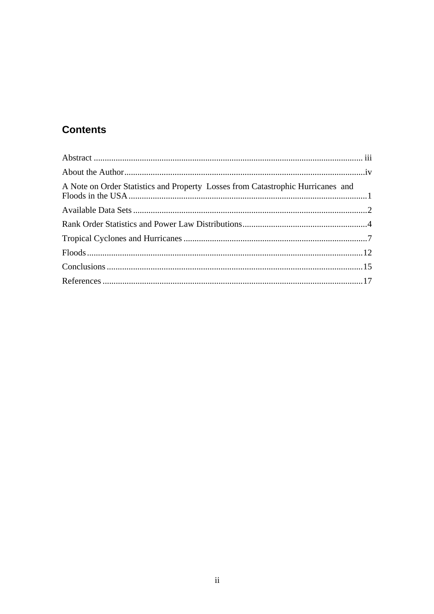# **Contents**

| A Note on Order Statistics and Property Losses from Catastrophic Hurricanes and |  |
|---------------------------------------------------------------------------------|--|
|                                                                                 |  |
|                                                                                 |  |
|                                                                                 |  |
|                                                                                 |  |
|                                                                                 |  |
|                                                                                 |  |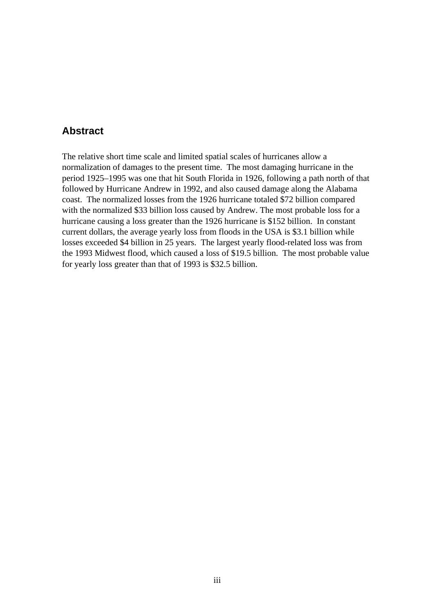## **Abstract**

The relative short time scale and limited spatial scales of hurricanes allow a normalization of damages to the present time. The most damaging hurricane in the period 1925–1995 was one that hit South Florida in 1926, following a path north of that followed by Hurricane Andrew in 1992, and also caused damage along the Alabama coast. The normalized losses from the 1926 hurricane totaled \$72 billion compared with the normalized \$33 billion loss caused by Andrew. The most probable loss for a hurricane causing a loss greater than the 1926 hurricane is \$152 billion. In constant current dollars, the average yearly loss from floods in the USA is \$3.1 billion while losses exceeded \$4 billion in 25 years. The largest yearly flood-related loss was from the 1993 Midwest flood, which caused a loss of \$19.5 billion. The most probable value for yearly loss greater than that of 1993 is \$32.5 billion.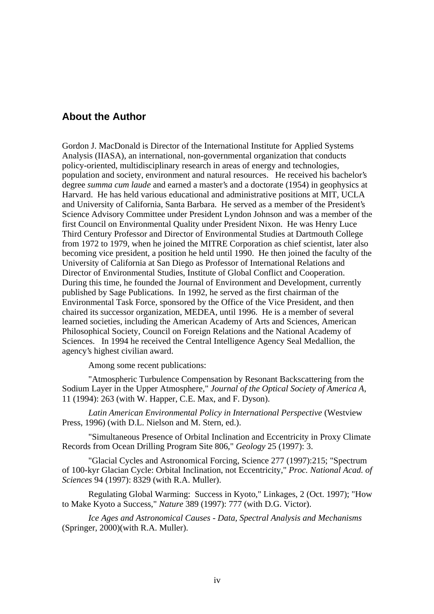## **About the Author**

Gordon J. MacDonald is Director of the International Institute for Applied Systems Analysis (IIASA), an international, non-governmental organization that conducts policy-oriented, multidisciplinary research in areas of energy and technologies, population and society, environment and natural resources. He received his bachelor's degree *summa cum laude* and earned a master's and a doctorate (1954) in geophysics at Harvard. He has held various educational and administrative positions at MIT, UCLA and University of California, Santa Barbara. He served as a member of the President's Science Advisory Committee under President Lyndon Johnson and was a member of the first Council on Environmental Quality under President Nixon. He was Henry Luce Third Century Professor and Director of Environmental Studies at Dartmouth College from 1972 to 1979, when he joined the MITRE Corporation as chief scientist, later also becoming vice president, a position he held until 1990. He then joined the faculty of the University of California at San Diego as Professor of International Relations and Director of Environmental Studies, Institute of Global Conflict and Cooperation. During this time, he founded the Journal of Environment and Development, currently published by Sage Publications. In 1992, he served as the first chairman of the Environmental Task Force, sponsored by the Office of the Vice President, and then chaired its successor organization, MEDEA, until 1996. He is a member of several learned societies, including the American Academy of Arts and Sciences, American Philosophical Society, Council on Foreign Relations and the National Academy of Sciences. In 1994 he received the Central Intelligence Agency Seal Medallion, the agency's highest civilian award.

Among some recent publications:

"Atmospheric Turbulence Compensation by Resonant Backscattering from the Sodium Layer in the Upper Atmosphere," *Journal of the Optical Society of America A*, 11 (1994): 263 (with W. Happer, C.E. Max, and F. Dyson).

*Latin American Environmental Policy in International Perspective* (Westview Press, 1996) (with D.L. Nielson and M. Stern, ed.).

"Simultaneous Presence of Orbital Inclination and Eccentricity in Proxy Climate Records from Ocean Drilling Program Site 806," *Geology* 25 (1997): 3.

"Glacial Cycles and Astronomical Forcing, Science 277 (1997):215; "Spectrum of 100-kyr Glacian Cycle: Orbital Inclination, not Eccentricity," *Proc. National Acad. of Sciences* 94 (1997): 8329 (with R.A. Muller).

Regulating Global Warming: Success in Kyoto," Linkages, 2 (Oct. 1997); "How to Make Kyoto a Success," *Nature* 389 (1997): 777 (with D.G. Victor).

*Ice Ages and Astronomical Causes - Data, Spectral Analysis and Mechanisms* (Springer, 2000)(with R.A. Muller).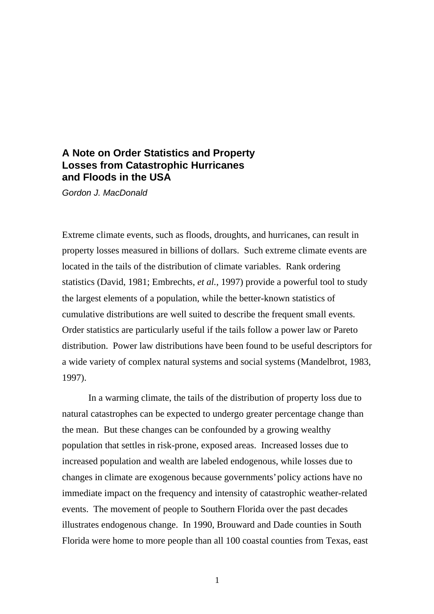## **A Note on Order Statistics and Property Losses from Catastrophic Hurricanes and Floods in the USA**

Gordon J. MacDonald

Extreme climate events, such as floods, droughts, and hurricanes, can result in property losses measured in billions of dollars. Such extreme climate events are located in the tails of the distribution of climate variables. Rank ordering statistics (David, 1981; Embrechts, *et al.*, 1997) provide a powerful tool to study the largest elements of a population, while the better-known statistics of cumulative distributions are well suited to describe the frequent small events. Order statistics are particularly useful if the tails follow a power law or Pareto distribution. Power law distributions have been found to be useful descriptors for a wide variety of complex natural systems and social systems (Mandelbrot, 1983, 1997).

In a warming climate, the tails of the distribution of property loss due to natural catastrophes can be expected to undergo greater percentage change than the mean. But these changes can be confounded by a growing wealthy population that settles in risk-prone, exposed areas. Increased losses due to increased population and wealth are labeled endogenous, while losses due to changes in climate are exogenous because governments' policy actions have no immediate impact on the frequency and intensity of catastrophic weather-related events. The movement of people to Southern Florida over the past decades illustrates endogenous change. In 1990, Brouward and Dade counties in South Florida were home to more people than all 100 coastal counties from Texas, east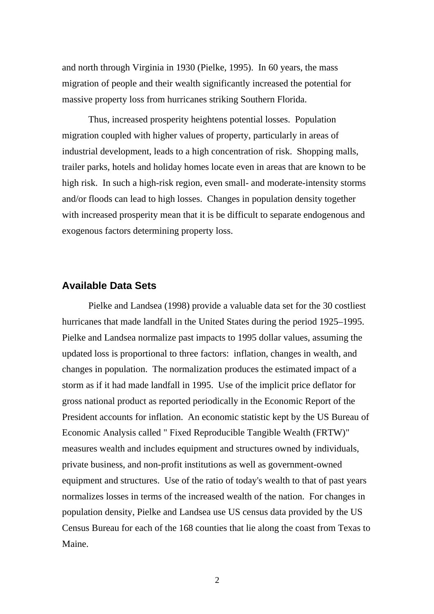and north through Virginia in 1930 (Pielke, 1995). In 60 years, the mass migration of people and their wealth significantly increased the potential for massive property loss from hurricanes striking Southern Florida.

Thus, increased prosperity heightens potential losses. Population migration coupled with higher values of property, particularly in areas of industrial development, leads to a high concentration of risk. Shopping malls, trailer parks, hotels and holiday homes locate even in areas that are known to be high risk. In such a high-risk region, even small- and moderate-intensity storms and/or floods can lead to high losses. Changes in population density together with increased prosperity mean that it is be difficult to separate endogenous and exogenous factors determining property loss.

### **Available Data Sets**

Pielke and Landsea (1998) provide a valuable data set for the 30 costliest hurricanes that made landfall in the United States during the period 1925–1995. Pielke and Landsea normalize past impacts to 1995 dollar values, assuming the updated loss is proportional to three factors: inflation, changes in wealth, and changes in population. The normalization produces the estimated impact of a storm as if it had made landfall in 1995. Use of the implicit price deflator for gross national product as reported periodically in the Economic Report of the President accounts for inflation. An economic statistic kept by the US Bureau of Economic Analysis called " Fixed Reproducible Tangible Wealth (FRTW)" measures wealth and includes equipment and structures owned by individuals, private business, and non-profit institutions as well as government-owned equipment and structures. Use of the ratio of today's wealth to that of past years normalizes losses in terms of the increased wealth of the nation. For changes in population density, Pielke and Landsea use US census data provided by the US Census Bureau for each of the 168 counties that lie along the coast from Texas to Maine.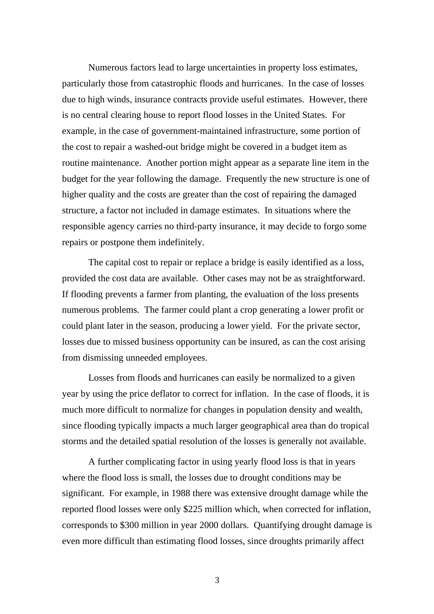Numerous factors lead to large uncertainties in property loss estimates, particularly those from catastrophic floods and hurricanes. In the case of losses due to high winds, insurance contracts provide useful estimates. However, there is no central clearing house to report flood losses in the United States. For example, in the case of government-maintained infrastructure, some portion of the cost to repair a washed-out bridge might be covered in a budget item as routine maintenance. Another portion might appear as a separate line item in the budget for the year following the damage. Frequently the new structure is one of higher quality and the costs are greater than the cost of repairing the damaged structure, a factor not included in damage estimates. In situations where the responsible agency carries no third-party insurance, it may decide to forgo some repairs or postpone them indefinitely.

The capital cost to repair or replace a bridge is easily identified as a loss, provided the cost data are available. Other cases may not be as straightforward. If flooding prevents a farmer from planting, the evaluation of the loss presents numerous problems. The farmer could plant a crop generating a lower profit or could plant later in the season, producing a lower yield. For the private sector, losses due to missed business opportunity can be insured, as can the cost arising from dismissing unneeded employees.

Losses from floods and hurricanes can easily be normalized to a given year by using the price deflator to correct for inflation. In the case of floods, it is much more difficult to normalize for changes in population density and wealth, since flooding typically impacts a much larger geographical area than do tropical storms and the detailed spatial resolution of the losses is generally not available.

A further complicating factor in using yearly flood loss is that in years where the flood loss is small, the losses due to drought conditions may be significant. For example, in 1988 there was extensive drought damage while the reported flood losses were only \$225 million which, when corrected for inflation, corresponds to \$300 million in year 2000 dollars. Quantifying drought damage is even more difficult than estimating flood losses, since droughts primarily affect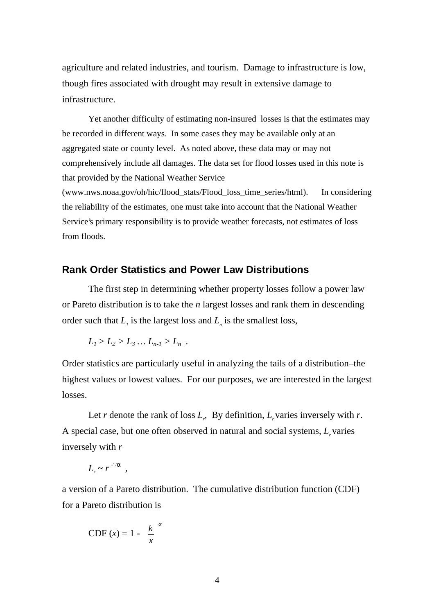agriculture and related industries, and tourism. Damage to infrastructure is low, though fires associated with drought may result in extensive damage to infrastructure.

Yet another difficulty of estimating non-insured losses is that the estimates may be recorded in different ways. In some cases they may be available only at an aggregated state or county level. As noted above, these data may or may not comprehensively include all damages. The data set for flood losses used in this note is that provided by the National Weather Service (www.nws.noaa.gov/oh/hic/flood\_stats/Flood\_loss\_time\_series/html). In considering the reliability of the estimates, one must take into account that the National Weather Service's primary responsibility is to provide weather forecasts, not estimates of loss

from floods.

## **Rank Order Statistics and Power Law Distributions**

The first step in determining whether property losses follow a power law or Pareto distribution is to take the *n* largest losses and rank them in descending order such that  $L_i$  is the largest loss and  $L_i$  is the smallest loss,

$$
L_1 > L_2 > L_3 \dots L_{n-1} > L_n
$$
.

Order statistics are particularly useful in analyzing the tails of a distribution–the highest values or lowest values. For our purposes, we are interested in the largest losses.

Let *r* denote the rank of loss  $L_r$ , By definition,  $L_r$  varies inversely with *r*. A special case, but one often observed in natural and social systems, L<sub>r</sub> varies inversely with *r*

$$
L_r \sim r^{-1/\alpha} ,
$$

a version of a Pareto distribution. The cumulative distribution function (CDF) for a Pareto distribution is

CDF 
$$
(x) = 1 - \left(\frac{k}{x}\right)^{\alpha}
$$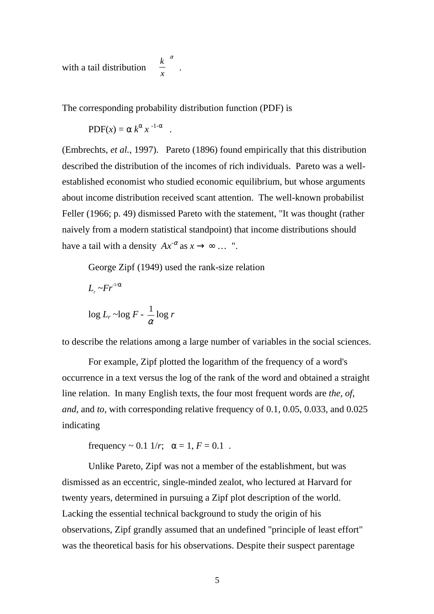with a tail distribution  $\begin{bmatrix} 0 \\ -1 \end{bmatrix}$ . α J  $\big)$  $\left(\frac{k}{2}\right)$ l ſ *x k*

The corresponding probability distribution function (PDF) is

$$
PDF(x) = \alpha k^{\alpha} x^{-1-\alpha} .
$$

(Embrechts, *et al.*, 1997). Pareto (1896) found empirically that this distribution described the distribution of the incomes of rich individuals. Pareto was a wellestablished economist who studied economic equilibrium, but whose arguments about income distribution received scant attention. The well-known probabilist Feller (1966; p. 49) dismissed Pareto with the statement, "It was thought (rather naively from a modern statistical standpoint) that income distributions should have a tail with a density  $Ax^{-\alpha}$  as  $x \to \infty$  ... ".

George Zipf (1949) used the rank-size relation

$$
L_r \sim Fr^{1/\alpha}
$$
  

$$
\log L_r \sim \log F - \frac{1}{\alpha} \log r
$$

to describe the relations among a large number of variables in the social sciences.

For example, Zipf plotted the logarithm of the frequency of a word's occurrence in a text versus the log of the rank of the word and obtained a straight line relation. In many English texts, the four most frequent words are *the*, *of*, *and*, and *to,* with corresponding relative frequency of 0.1, 0.05, 0.033, and 0.025 indicating

frequency  $\sim 0.1$  1/*r*;  $\alpha = 1, F = 0.1$ .

Unlike Pareto, Zipf was not a member of the establishment, but was dismissed as an eccentric, single-minded zealot, who lectured at Harvard for twenty years, determined in pursuing a Zipf plot description of the world. Lacking the essential technical background to study the origin of his observations, Zipf grandly assumed that an undefined "principle of least effort" was the theoretical basis for his observations. Despite their suspect parentage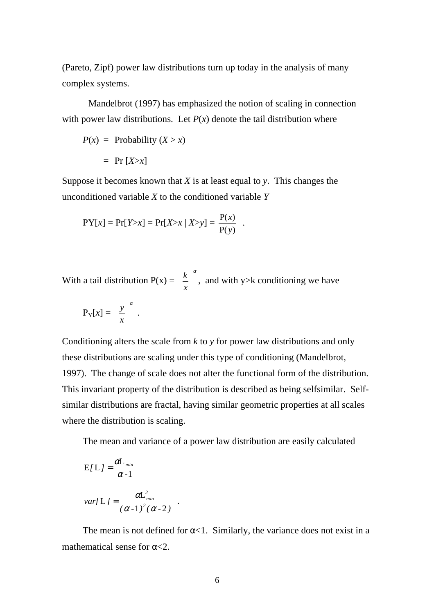(Pareto, Zipf) power law distributions turn up today in the analysis of many complex systems.

Mandelbrot (1997) has emphasized the notion of scaling in connection with power law distributions. Let  $P(x)$  denote the tail distribution where

$$
P(x) = \text{Probability } (X > x)
$$

$$
= \Pr [X > x]
$$

Suppose it becomes known that *X* is at least equal to *y*. This changes the unconditioned variable *X* to the conditioned variable *Y*

$$
PY[x] = Pr[Y > x] = Pr[X > x | X > y] = \frac{P(x)}{P(y)}.
$$

With a tail distribution  $P(x) =$ α  $\bigg)$  $\left(\frac{k}{\cdot}\right)$ l ſ *x*  $k \choose k$ , and with y>k conditioning we have

$$
P_Y[x] = \left(\frac{y}{x}\right)^{\alpha}.
$$

Conditioning alters the scale from *k* to *y* for power law distributions and only these distributions are scaling under this type of conditioning (Mandelbrot, 1997). The change of scale does not alter the functional form of the distribution. This invariant property of the distribution is described as being selfsimilar. Selfsimilar distributions are fractal, having similar geometric properties at all scales where the distribution is scaling.

The mean and variance of a power law distribution are easily calculated

$$
E[L] = \frac{\alpha L_{min}}{\alpha - 1}
$$
  

$$
var[L] = \frac{\alpha L_{min}^2}{(\alpha - 1)^2 (\alpha - 2)}
$$
.

The mean is not defined for  $\alpha$ <1. Similarly, the variance does not exist in a mathematical sense for  $\alpha < 2$ .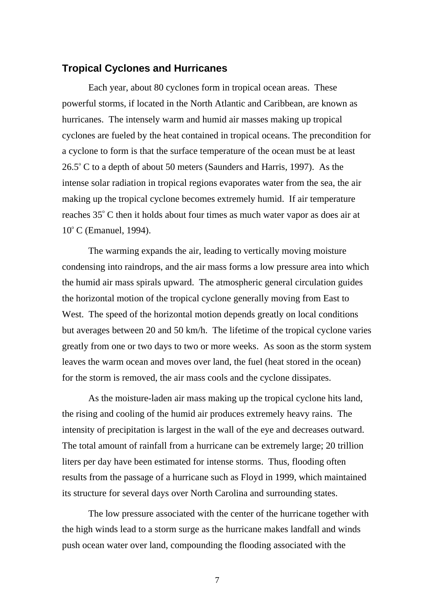### **Tropical Cyclones and Hurricanes**

Each year, about 80 cyclones form in tropical ocean areas. These powerful storms, if located in the North Atlantic and Caribbean, are known as hurricanes. The intensely warm and humid air masses making up tropical cyclones are fueled by the heat contained in tropical oceans. The precondition for a cyclone to form is that the surface temperature of the ocean must be at least  $26.5^{\circ}$  C to a depth of about 50 meters (Saunders and Harris, 1997). As the intense solar radiation in tropical regions evaporates water from the sea, the air making up the tropical cyclone becomes extremely humid. If air temperature reaches 35° C then it holds about four times as much water vapor as does air at 10° C (Emanuel, 1994).

The warming expands the air, leading to vertically moving moisture condensing into raindrops, and the air mass forms a low pressure area into which the humid air mass spirals upward. The atmospheric general circulation guides the horizontal motion of the tropical cyclone generally moving from East to West. The speed of the horizontal motion depends greatly on local conditions but averages between 20 and 50 km/h. The lifetime of the tropical cyclone varies greatly from one or two days to two or more weeks. As soon as the storm system leaves the warm ocean and moves over land, the fuel (heat stored in the ocean) for the storm is removed, the air mass cools and the cyclone dissipates.

As the moisture-laden air mass making up the tropical cyclone hits land, the rising and cooling of the humid air produces extremely heavy rains. The intensity of precipitation is largest in the wall of the eye and decreases outward. The total amount of rainfall from a hurricane can be extremely large; 20 trillion liters per day have been estimated for intense storms. Thus, flooding often results from the passage of a hurricane such as Floyd in 1999, which maintained its structure for several days over North Carolina and surrounding states.

The low pressure associated with the center of the hurricane together with the high winds lead to a storm surge as the hurricane makes landfall and winds push ocean water over land, compounding the flooding associated with the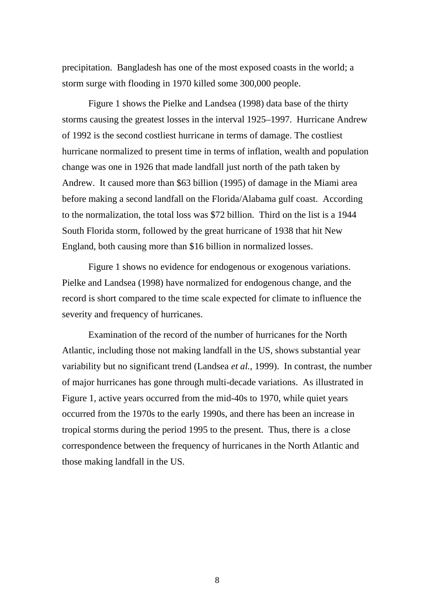precipitation. Bangladesh has one of the most exposed coasts in the world; a storm surge with flooding in 1970 killed some 300,000 people.

Figure 1 shows the Pielke and Landsea (1998) data base of the thirty storms causing the greatest losses in the interval 1925–1997. Hurricane Andrew of 1992 is the second costliest hurricane in terms of damage. The costliest hurricane normalized to present time in terms of inflation, wealth and population change was one in 1926 that made landfall just north of the path taken by Andrew. It caused more than \$63 billion (1995) of damage in the Miami area before making a second landfall on the Florida/Alabama gulf coast. According to the normalization, the total loss was \$72 billion. Third on the list is a 1944 South Florida storm, followed by the great hurricane of 1938 that hit New England, both causing more than \$16 billion in normalized losses.

Figure 1 shows no evidence for endogenous or exogenous variations. Pielke and Landsea (1998) have normalized for endogenous change, and the record is short compared to the time scale expected for climate to influence the severity and frequency of hurricanes.

Examination of the record of the number of hurricanes for the North Atlantic, including those not making landfall in the US, shows substantial year variability but no significant trend (Landsea *et al.*, 1999). In contrast, the number of major hurricanes has gone through multi-decade variations. As illustrated in Figure 1, active years occurred from the mid-40s to 1970, while quiet years occurred from the 1970s to the early 1990s, and there has been an increase in tropical storms during the period 1995 to the present. Thus, there is a close correspondence between the frequency of hurricanes in the North Atlantic and those making landfall in the US.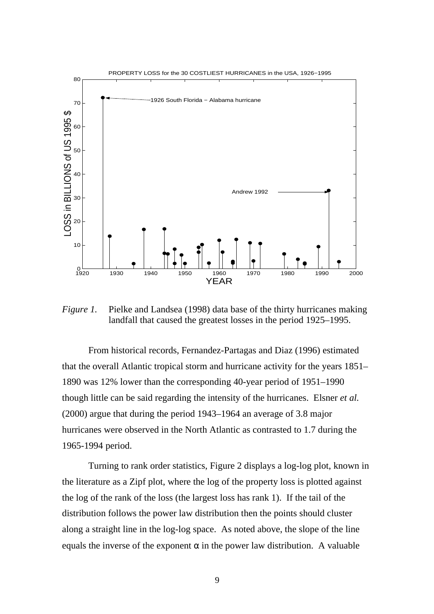

*Figure 1.* Pielke and Landsea (1998) data base of the thirty hurricanes making landfall that caused the greatest losses in the period 1925–1995.

From historical records, Fernandez-Partagas and Diaz (1996) estimated that the overall Atlantic tropical storm and hurricane activity for the years 1851– 1890 was 12% lower than the corresponding 40-year period of 1951–1990 though little can be said regarding the intensity of the hurricanes. Elsner *et al.* (2000) argue that during the period 1943–1964 an average of 3.8 major hurricanes were observed in the North Atlantic as contrasted to 1.7 during the 1965-1994 period.

Turning to rank order statistics, Figure 2 displays a log-log plot, known in the literature as a Zipf plot, where the log of the property loss is plotted against the log of the rank of the loss (the largest loss has rank 1). If the tail of the distribution follows the power law distribution then the points should cluster along a straight line in the log-log space. As noted above, the slope of the line equals the inverse of the exponent  $\alpha$  in the power law distribution. A valuable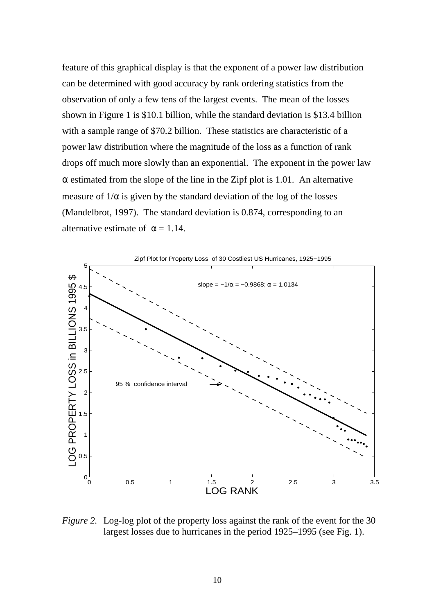feature of this graphical display is that the exponent of a power law distribution can be determined with good accuracy by rank ordering statistics from the observation of only a few tens of the largest events. The mean of the losses shown in Figure 1 is \$10.1 billion, while the standard deviation is \$13.4 billion with a sample range of \$70.2 billion. These statistics are characteristic of a power law distribution where the magnitude of the loss as a function of rank drops off much more slowly than an exponential. The exponent in the power law  $\alpha$  estimated from the slope of the line in the Zipf plot is 1.01. An alternative measure of  $1/\alpha$  is given by the standard deviation of the log of the losses (Mandelbrot, 1997). The standard deviation is 0.874, corresponding to an alternative estimate of  $\alpha = 1.14$ .



*Figure 2.* Log-log plot of the property loss against the rank of the event for the 30 largest losses due to hurricanes in the period 1925–1995 (see Fig. 1).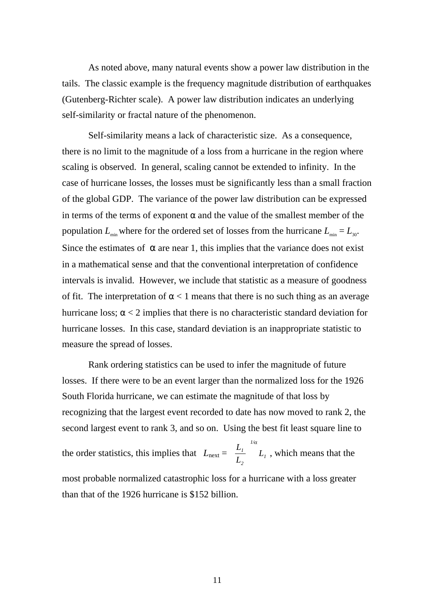As noted above, many natural events show a power law distribution in the tails. The classic example is the frequency magnitude distribution of earthquakes (Gutenberg-Richter scale). A power law distribution indicates an underlying self-similarity or fractal nature of the phenomenon.

Self-similarity means a lack of characteristic size. As a consequence, there is no limit to the magnitude of a loss from a hurricane in the region where scaling is observed. In general, scaling cannot be extended to infinity. In the case of hurricane losses, the losses must be significantly less than a small fraction of the global GDP. The variance of the power law distribution can be expressed in terms of the terms of exponent  $\alpha$  and the value of the smallest member of the population  $L_{\min}$  where for the ordered set of losses from the hurricane  $L_{\min} = L_{30}$ . Since the estimates of  $\alpha$  are near 1, this implies that the variance does not exist in a mathematical sense and that the conventional interpretation of confidence intervals is invalid. However, we include that statistic as a measure of goodness of fit. The interpretation of  $\alpha$  < 1 means that there is no such thing as an average hurricane loss;  $\alpha$  < 2 implies that there is no characteristic standard deviation for hurricane losses. In this case, standard deviation is an inappropriate statistic to measure the spread of losses.

Rank ordering statistics can be used to infer the magnitude of future losses. If there were to be an event larger than the normalized loss for the 1926 South Florida hurricane, we can estimate the magnitude of that loss by recognizing that the largest event recorded to date has now moved to rank 2, the second largest event to rank 3, and so on. Using the best fit least square line to

the order statistics, this implies that  $L_{\text{next}} = \left| \frac{L_I}{L_I} \right| L_I$ *1/ 2 <sup>1</sup> L L L*  $\bigg)$  $\left( \frac{1}{2} \right)$  $\mathsf I$ l  $\left(\frac{L_1}{I}\right)^{n\alpha}L_1$ , which means that the most probable normalized catastrophic loss for a hurricane with a loss greater than that of the 1926 hurricane is \$152 billion.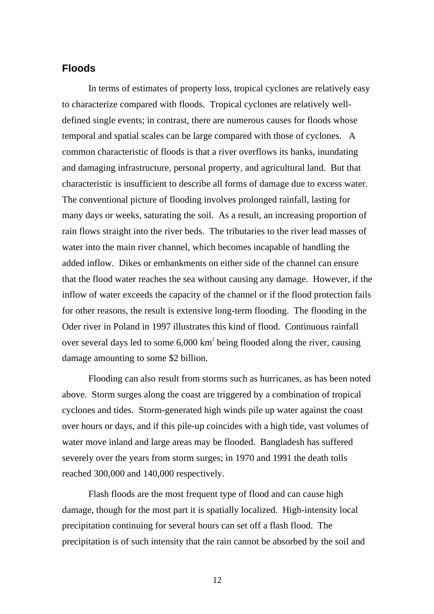## **Floods**

In terms of estimates of property loss, tropical cyclones are relatively easy to characterize compared with floods. Tropical cyclones are relatively welldefined single events; in contrast, there are numerous causes for floods whose temporal and spatial scales can be large compared with those of cyclones. A common characteristic of floods is that a river overflows its banks, inundating and damaging infrastructure, personal property, and agricultural land. But that characteristic is insufficient to describe all forms of damage due to excess water. The conventional picture of flooding involves prolonged rainfall, lasting for many days or weeks, saturating the soil. As a result, an increasing proportion of rain flows straight into the river beds. The tributaries to the river lead masses of water into the main river channel, which becomes incapable of handling the added inflow. Dikes or embankments on either side of the channel can ensure that the flood water reaches the sea without causing any damage. However, if the inflow of water exceeds the capacity of the channel or if the flood protection fails for other reasons, the result is extensive long-term flooding. The flooding in the Oder river in Poland in 1997 illustrates this kind of flood. Continuous rainfall over several days led to some  $6,000 \text{ km}^2$  being flooded along the river, causing damage amounting to some \$2 billion.

Flooding can also result from storms such as hurricanes, as has been noted above. Storm surges along the coast are triggered by a combination of tropical cyclones and tides. Storm-generated high winds pile up water against the coast over hours or days, and if this pile-up coincides with a high tide, vast volumes of water move inland and large areas may be flooded. Bangladesh has suffered severely over the years from storm surges; in 1970 and 1991 the death tolls reached 300,000 and 140,000 respectively.

Flash floods are the most frequent type of flood and can cause high damage, though for the most part it is spatially localized. High-intensity local precipitation continuing for several hours can set off a flash flood. The precipitation is of such intensity that the rain cannot be absorbed by the soil and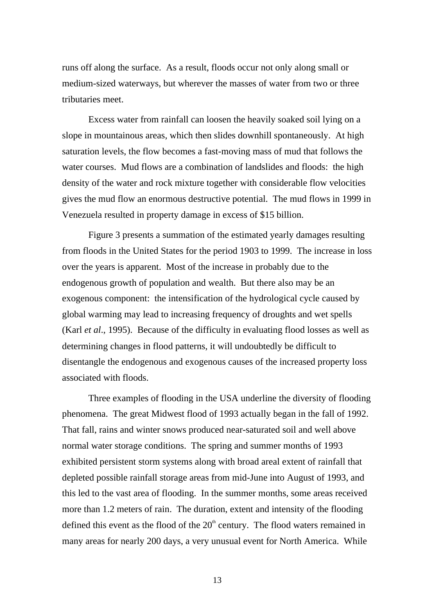runs off along the surface. As a result, floods occur not only along small or medium-sized waterways, but wherever the masses of water from two or three tributaries meet.

Excess water from rainfall can loosen the heavily soaked soil lying on a slope in mountainous areas, which then slides downhill spontaneously. At high saturation levels, the flow becomes a fast-moving mass of mud that follows the water courses. Mud flows are a combination of landslides and floods: the high density of the water and rock mixture together with considerable flow velocities gives the mud flow an enormous destructive potential. The mud flows in 1999 in Venezuela resulted in property damage in excess of \$15 billion.

Figure 3 presents a summation of the estimated yearly damages resulting from floods in the United States for the period 1903 to 1999. The increase in loss over the years is apparent. Most of the increase in probably due to the endogenous growth of population and wealth. But there also may be an exogenous component: the intensification of the hydrological cycle caused by global warming may lead to increasing frequency of droughts and wet spells (Karl *et al*., 1995). Because of the difficulty in evaluating flood losses as well as determining changes in flood patterns, it will undoubtedly be difficult to disentangle the endogenous and exogenous causes of the increased property loss associated with floods.

Three examples of flooding in the USA underline the diversity of flooding phenomena. The great Midwest flood of 1993 actually began in the fall of 1992. That fall, rains and winter snows produced near-saturated soil and well above normal water storage conditions. The spring and summer months of 1993 exhibited persistent storm systems along with broad areal extent of rainfall that depleted possible rainfall storage areas from mid-June into August of 1993, and this led to the vast area of flooding. In the summer months, some areas received more than 1.2 meters of rain. The duration, extent and intensity of the flooding defined this event as the flood of the  $20<sup>th</sup>$  century. The flood waters remained in many areas for nearly 200 days, a very unusual event for North America. While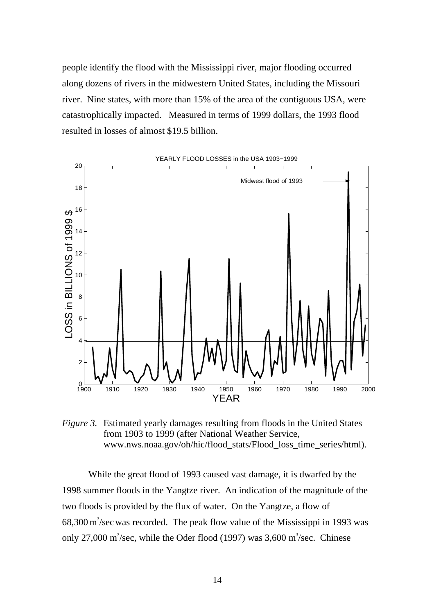people identify the flood with the Mississippi river, major flooding occurred along dozens of rivers in the midwestern United States, including the Missouri river. Nine states, with more than 15% of the area of the contiguous USA, were catastrophically impacted. Measured in terms of 1999 dollars, the 1993 flood resulted in losses of almost \$19.5 billion.



*Figure 3.* Estimated yearly damages resulting from floods in the United States from 1903 to 1999 (after National Weather Service, www.nws.noaa.gov/oh/hic/flood\_stats/Flood\_loss\_time\_series/html).

While the great flood of 1993 caused vast damage, it is dwarfed by the 1998 summer floods in the Yangtze river. An indication of the magnitude of the two floods is provided by the flux of water. On the Yangtze, a flow of  $68,300 \,\mathrm{m}^3/\mathrm{sec}$  was recorded. The peak flow value of the Mississippi in 1993 was only 27,000 m<sup>3</sup>/sec, while the Oder flood (1997) was  $3,600$  m<sup>3</sup>/sec. Chinese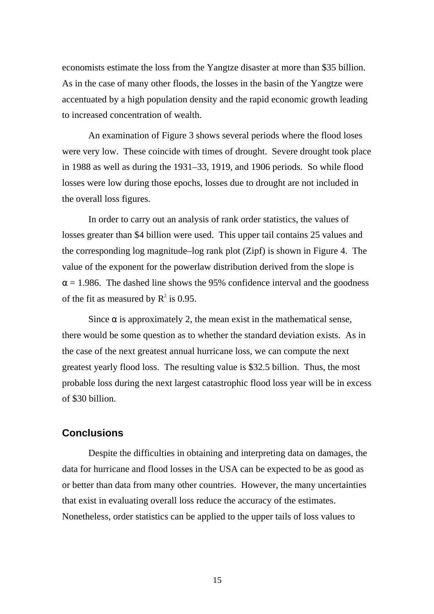economists estimate the loss from the Yangtze disaster at more than \$35 billion. As in the case of many other floods, the losses in the basin of the Yangtze were accentuated by a high population density and the rapid economic growth leading to increased concentration of wealth.

An examination of Figure 3 shows several periods where the flood loses were very low. These coincide with times of drought. Severe drought took place in 1988 as well as during the 1931–33, 1919, and 1906 periods. So while flood losses were low during those epochs, losses due to drought are not included in the overall loss figures.

In order to carry out an analysis of rank order statistics, the values of losses greater than \$4 billion were used. This upper tail contains 25 values and the corresponding log magnitude–log rank plot (Zipf) is shown in Figure 4. The value of the exponent for the powerlaw distribution derived from the slope is  $\alpha$  = 1.986. The dashed line shows the 95% confidence interval and the goodness of the fit as measured by  $R^2$  is 0.95.

Since  $\alpha$  is approximately 2, the mean exist in the mathematical sense, there would be some question as to whether the standard deviation exists. As in the case of the next greatest annual hurricane loss, we can compute the next greatest yearly flood loss. The resulting value is \$32.5 billion. Thus, the most probable loss during the next largest catastrophic flood loss year will be in excess of \$30 billion.

### **Conclusions**

Despite the difficulties in obtaining and interpreting data on damages, the data for hurricane and flood losses in the USA can be expected to be as good as or better than data from many other countries. However, the many uncertainties that exist in evaluating overall loss reduce the accuracy of the estimates. Nonetheless, order statistics can be applied to the upper tails of loss values to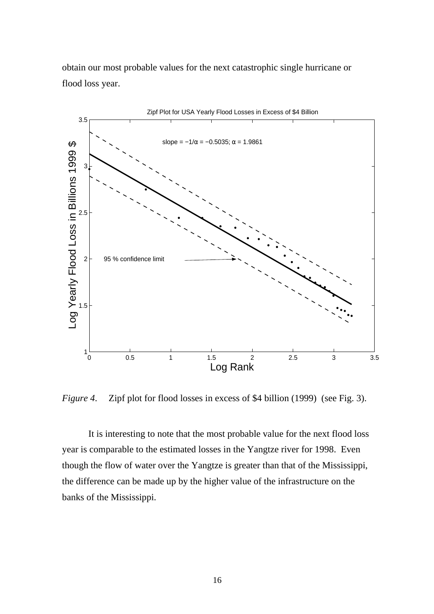obtain our most probable values for the next catastrophic single hurricane or flood loss year.



*Figure 4*. Zipf plot for flood losses in excess of \$4 billion (1999) (see Fig. 3).

It is interesting to note that the most probable value for the next flood loss year is comparable to the estimated losses in the Yangtze river for 1998. Even though the flow of water over the Yangtze is greater than that of the Mississippi, the difference can be made up by the higher value of the infrastructure on the banks of the Mississippi.